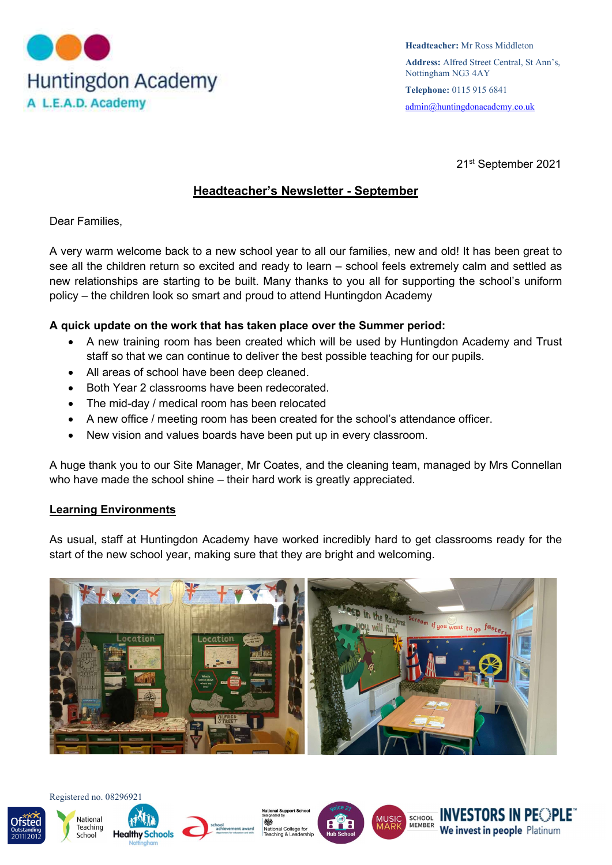

21st September 2021

# Headteacher's Newsletter - September

Dear Families,

A very warm welcome back to a new school year to all our families, new and old! It has been great to see all the children return so excited and ready to learn – school feels extremely calm and settled as new relationships are starting to be built. Many thanks to you all for supporting the school's uniform policy – the children look so smart and proud to attend Huntingdon Academy

### A quick update on the work that has taken place over the Summer period:

- A new training room has been created which will be used by Huntingdon Academy and Trust staff so that we can continue to deliver the best possible teaching for our pupils.
- All areas of school have been deep cleaned.
- Both Year 2 classrooms have been redecorated.
- The mid-day / medical room has been relocated
- A new office / meeting room has been created for the school's attendance officer.
- New vision and values boards have been put up in every classroom.

A huge thank you to our Site Manager, Mr Coates, and the cleaning team, managed by Mrs Connellan who have made the school shine – their hard work is greatly appreciated.

#### Learning Environments

As usual, staff at Huntingdon Academy have worked incredibly hard to get classrooms ready for the start of the new school year, making sure that they are bright and welcoming.













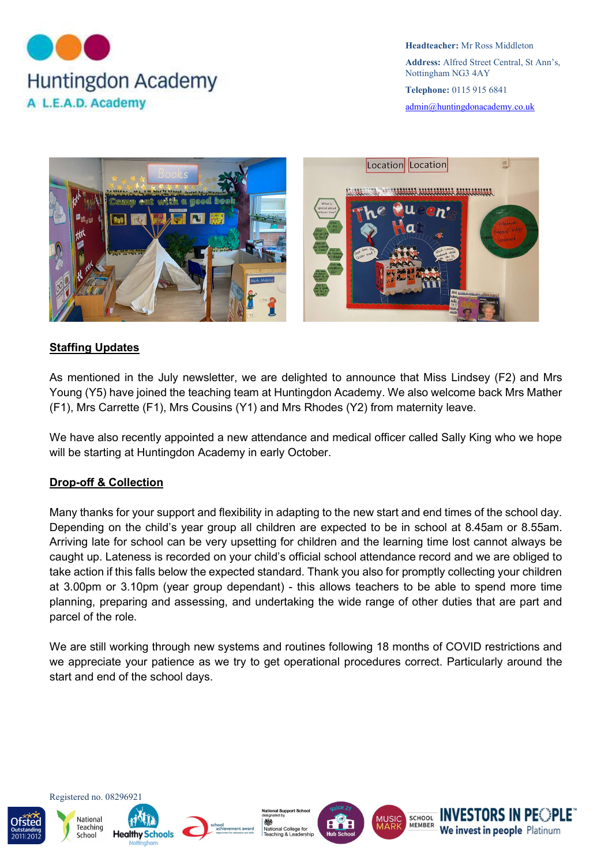



# Staffing Updates

As mentioned in the July newsletter, we are delighted to announce that Miss Lindsey (F2) and Mrs Young (Y5) have joined the teaching team at Huntingdon Academy. We also welcome back Mrs Mather (F1), Mrs Carrette (F1), Mrs Cousins (Y1) and Mrs Rhodes (Y2) from maternity leave.

We have also recently appointed a new attendance and medical officer called Sally King who we hope will be starting at Huntingdon Academy in early October.

# Drop-off & Collection

Many thanks for your support and flexibility in adapting to the new start and end times of the school day. Depending on the child's year group all children are expected to be in school at 8.45am or 8.55am. Arriving late for school can be very upsetting for children and the learning time lost cannot always be caught up. Lateness is recorded on your child's official school attendance record and we are obliged to take action if this falls below the expected standard. Thank you also for promptly collecting your children at 3.00pm or 3.10pm (year group dependant) - this allows teachers to be able to spend more time planning, preparing and assessing, and undertaking the wide range of other duties that are part and parcel of the role.

We are still working through new systems and routines following 18 months of COVID restrictions and we appreciate your patience as we try to get operational procedures correct. Particularly around the start and end of the school days.













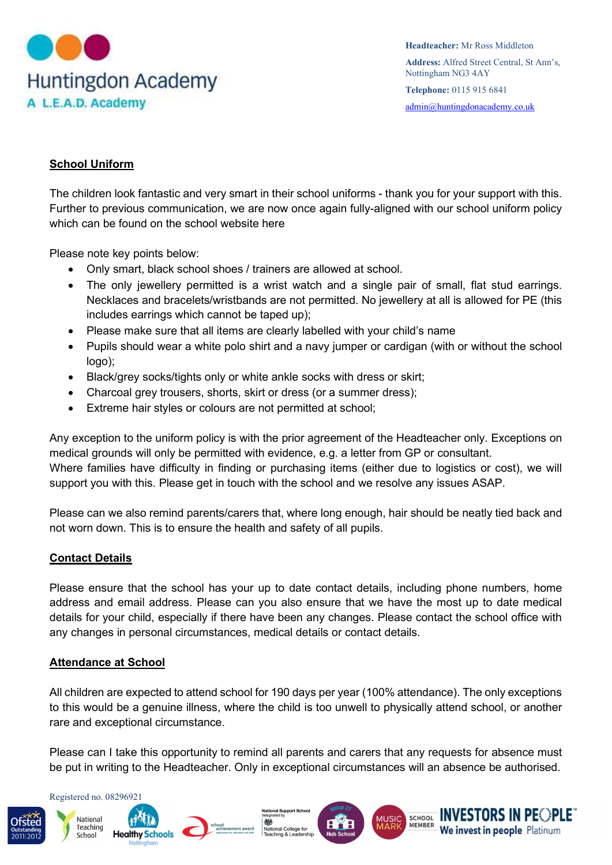

### School Uniform

The children look fantastic and very smart in their school uniforms - thank you for your support with this. Further to previous communication, we are now once again fully-aligned with our school uniform policy which can be found on the school website here

Please note key points below:

- Only smart, black school shoes / trainers are allowed at school.
- The only jewellery permitted is a wrist watch and a single pair of small, flat stud earrings. Necklaces and bracelets/wristbands are not permitted. No jewellery at all is allowed for PE (this includes earrings which cannot be taped up);
- Please make sure that all items are clearly labelled with your child's name
- Pupils should wear a white polo shirt and a navy jumper or cardigan (with or without the school logo);
- Black/grey socks/tights only or white ankle socks with dress or skirt;
- Charcoal grey trousers, shorts, skirt or dress (or a summer dress);
- Extreme hair styles or colours are not permitted at school;

Any exception to the uniform policy is with the prior agreement of the Headteacher only. Exceptions on medical grounds will only be permitted with evidence, e.g. a letter from GP or consultant. Where families have difficulty in finding or purchasing items (either due to logistics or cost), we will support you with this. Please get in touch with the school and we resolve any issues ASAP.

Please can we also remind parents/carers that, where long enough, hair should be neatly tied back and not worn down. This is to ensure the health and safety of all pupils.

# Contact Details

Please ensure that the school has your up to date contact details, including phone numbers, home address and email address. Please can you also ensure that we have the most up to date medical details for your child, especially if there have been any changes. Please contact the school office with any changes in personal circumstances, medical details or contact details.

#### Attendance at School

All children are expected to attend school for 190 days per year (100% attendance). The only exceptions to this would be a genuine illness, where the child is too unwell to physically attend school, or another rare and exceptional circumstance.

Please can I take this opportunity to remind all parents and carers that any requests for absence must be put in writing to the Headteacher. Only in exceptional circumstances will an absence be authorised.